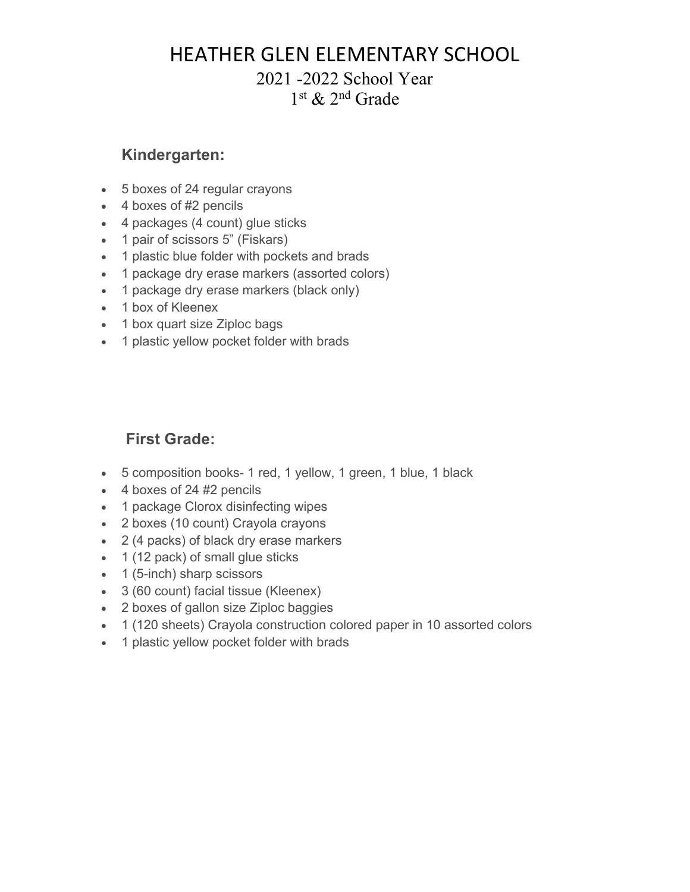### HEATHER GLEN ELEMENTARY SCHOOL

#### 2021 -2022 School Year 1st & 2nd Grade

#### **Kindergarten:**

- 5 boxes of 24 regular crayons
- 4 boxes of #2 pencils
- 4 packages (4 count) glue sticks
- 1 pair of scissors 5" (Fiskars)
- 1 plastic blue folder with pockets and brads
- 1 package dry erase markers (assorted colors)
- 1 package dry erase markers (black only)
- 1 box of Kleenex
- 1 box quart size Ziploc bags
- 1 plastic yellow pocket folder with brads

#### **First Grade:**

- 5 composition books- 1 red, 1 yellow, 1 green, 1 blue, 1 black
- 4 boxes of 24 #2 pencils
- 1 package Clorox disinfecting wipes
- 2 boxes (10 count) Crayola crayons
- 2 (4 packs) of black dry erase markers
- 1 (12 pack) of small glue sticks
- 1 (5-inch) sharp scissors
- 3 (60 count) facial tissue (Kleenex)
- 2 boxes of gallon size Ziploc baggies
- 1 (120 sheets) Crayola construction colored paper in 10 assorted colors
- 1 plastic yellow pocket folder with brads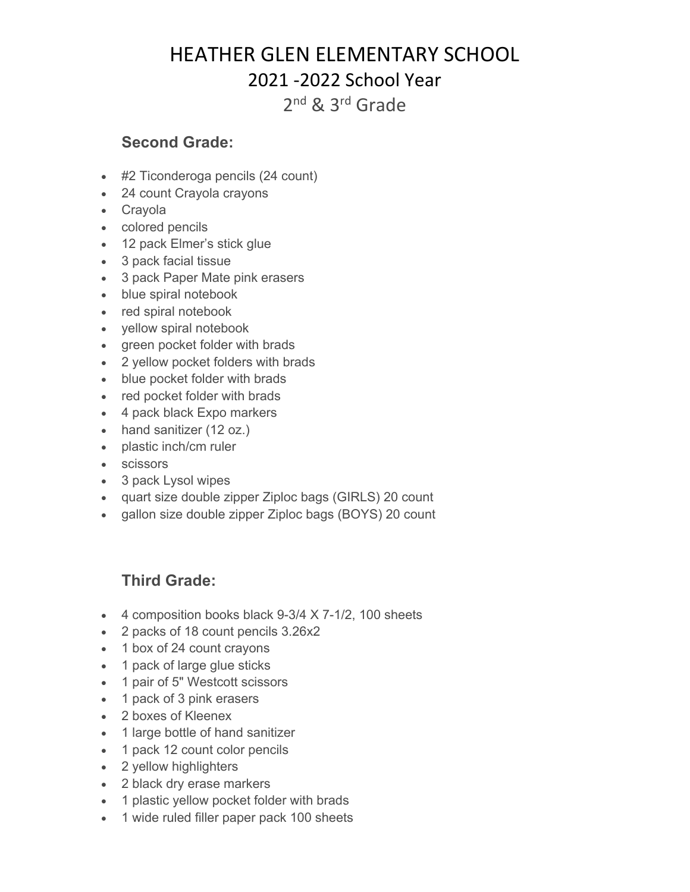## HEATHER GLEN ELEMENTARY SCHOOL 2021 -2022 School Year

2nd & 3rd Grade

#### **Second Grade:**

- #2 Ticonderoga pencils (24 count)
- 24 count Crayola crayons
- Crayola
- colored pencils
- 12 pack Elmer's stick glue
- 3 pack facial tissue
- 3 pack Paper Mate pink erasers
- blue spiral notebook
- red spiral notebook
- yellow spiral notebook
- green pocket folder with brads
- 2 yellow pocket folders with brads
- blue pocket folder with brads
- red pocket folder with brads
- 4 pack black Expo markers
- hand sanitizer (12 oz.)
- plastic inch/cm ruler
- scissors
- 3 pack Lysol wipes
- quart size double zipper Ziploc bags (GIRLS) 20 count
- gallon size double zipper Ziploc bags (BOYS) 20 count

#### **Third Grade:**

- 4 composition books black 9-3/4 X 7-1/2, 100 sheets
- 2 packs of 18 count pencils 3.26x2
- 1 box of 24 count crayons
- 1 pack of large glue sticks
- 1 pair of 5" Westcott scissors
- 1 pack of 3 pink erasers
- 2 boxes of Kleenex
- 1 large bottle of hand sanitizer
- 1 pack 12 count color pencils
- 2 yellow highlighters
- 2 black dry erase markers
- 1 plastic yellow pocket folder with brads
- 1 wide ruled filler paper pack 100 sheets